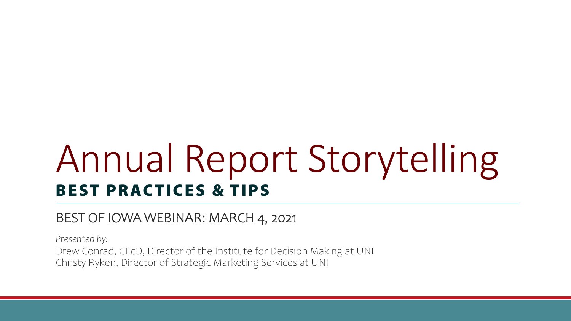## Annual Report Storytelling BEST PRACTICES & TIPS

#### BEST OF IOWA WEBINAR: MARCH 4, 2021

*Presented by:*

Drew Conrad, CEcD, Director of the Institute for Decision Making at UNI Christy Ryken, Director of Strategic Marketing Services at UNI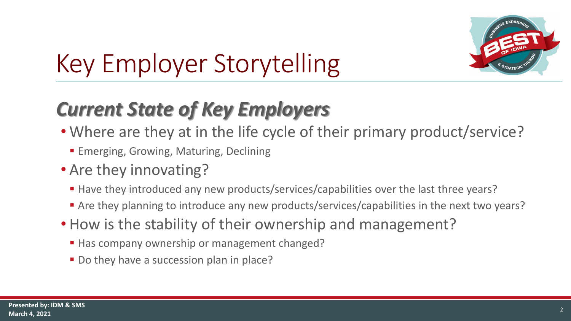

#### *Current State of Key Employers*

- Where are they at in the life cycle of their primary product/service?
	- **Emerging, Growing, Maturing, Declining**
- Are they innovating?
	- Have they introduced any new products/services/capabilities over the last three years?
	- Are they planning to introduce any new products/services/capabilities in the next two years?
- How is the stability of their ownership and management?
	- Has company ownership or management changed?
	- Do they have a succession plan in place?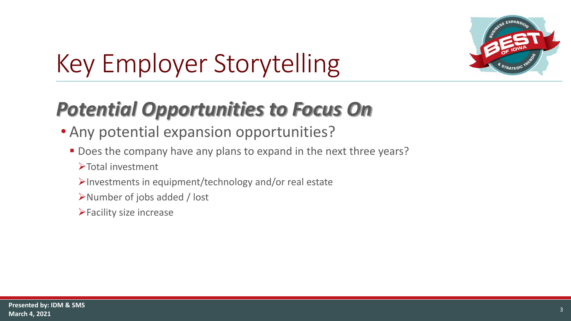

#### *Potential Opportunities to Focus On*

- Any potential expansion opportunities?
	- Does the company have any plans to expand in the next three years?
		- >Total investment
		- $\blacktriangleright$  Investments in equipment/technology and/or real estate
		- Number of jobs added / lost
		- $\blacktriangleright$  Facility size increase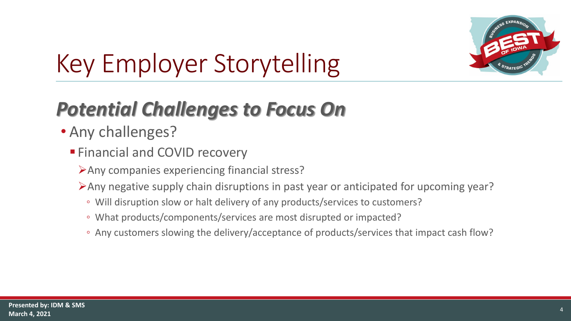

#### *Potential Challenges to Focus On*

- Any challenges?
	- **Financial and COVID recovery** 
		- Any companies experiencing financial stress?
		- Any negative supply chain disruptions in past year or anticipated for upcoming year?
			- Will disruption slow or halt delivery of any products/services to customers?
			- What products/components/services are most disrupted or impacted?
			- Any customers slowing the delivery/acceptance of products/services that impact cash flow?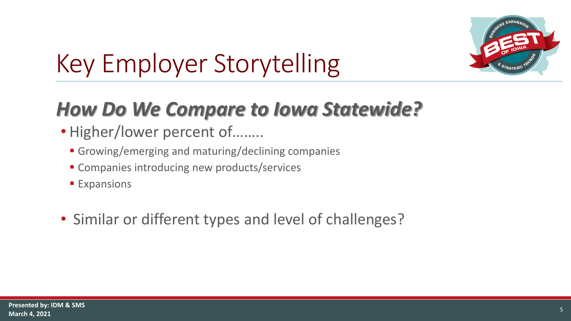

#### *How Do We Compare to Iowa Statewide?*

- Higher/lower percent of……..
	- Growing/emerging and maturing/declining companies
	- Companies introducing new products/services
	- **Expansions**
- Similar or different types and level of challenges?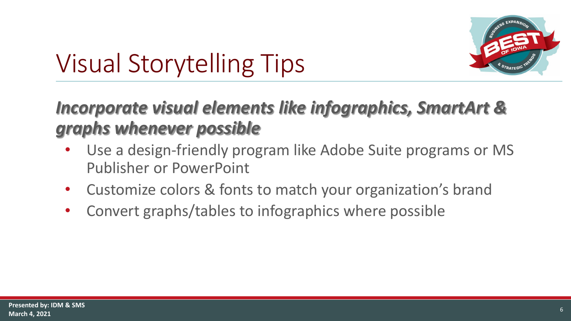

### Visual Storytelling Tips

#### *Incorporate visual elements like infographics, SmartArt & graphs whenever possible*

- Use a design-friendly program like Adobe Suite programs or MS Publisher or PowerPoint
- Customize colors & fonts to match your organization's brand
- Convert graphs/tables to infographics where possible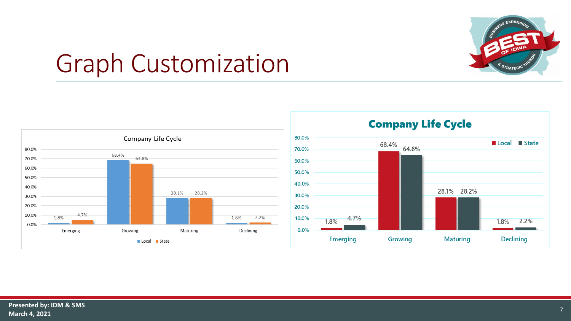

#### Graph Customization





**Company Life Cycle**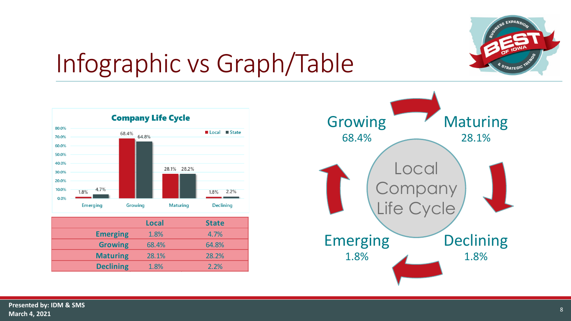

#### Infographic vs Graph/Table



|                  | <b>Local</b> | <b>State</b> |
|------------------|--------------|--------------|
| <b>Emerging</b>  | 1.8%         | 4.7%         |
| <b>Growing</b>   | 68.4%        | 64.8%        |
| <b>Maturing</b>  | 28.1%        | 28.2%        |
| <b>Declining</b> | 1.8%         | 2.2%         |

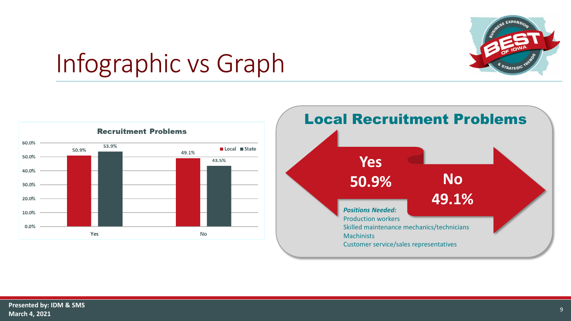

#### Infographic vs Graph